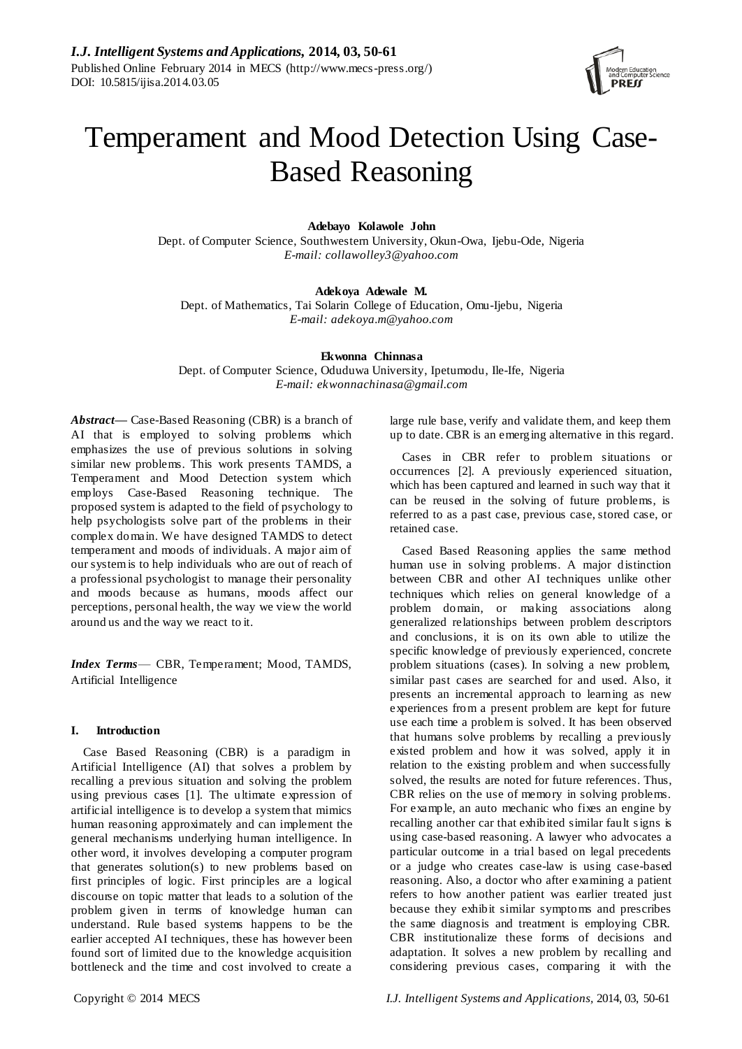

# Temperament and Mood Detection Using Case-Based Reasoning

# **Adebayo Kolawole John**

Dept. of Computer Science, Southwestern University, Okun-Owa, Ijebu-Ode, Nigeria *E-mail: collawolley3@yahoo.com*

## **Adekoya Adewale M.**

Dept. of Mathematics, Tai Solarin College of Education, Omu-Ijebu, Nigeria *E-mail: adekoya.m@yahoo.com*

**Ekwonna Chinnasa**

Dept. of Computer Science, Oduduwa University, Ipetumodu, Ile-Ife, Nigeria *E-mail: ekwonnachinasa@gmail.com*

*Abstract***—** Case-Based Reasoning (CBR) is a branch of AI that is employed to solving problems which emphasizes the use of previous solutions in solving similar new problems. This work presents TAMDS, a Temperament and Mood Detection system which employs Case-Based Reasoning technique. The proposed system is adapted to the field of psychology to help psychologists solve part of the problems in their complex domain. We have designed TAMDS to detect temperament and moods of individuals. A major aim of our system is to help individuals who are out of reach of a professional psychologist to manage their personality and moods because as humans, moods affect our perceptions, personal health, the way we view the world around us and the way we react to it.

*Index Terms*— CBR, Temperament; Mood, TAMDS, Artificial Intelligence

## **I. Introduction**

Case Based Reasoning (CBR) is a paradigm in Artificial Intelligence (AI) that solves a problem by recalling a previous situation and solving the problem using previous cases [1]. The ultimate expression of artificial intelligence is to develop a system that mimics human reasoning approximately and can implement the general mechanisms underlying human intelligence. In other word, it involves developing a computer program that generates solution(s) to new problems based on first principles of logic. First principles are a logical discourse on topic matter that leads to a solution of the problem given in terms of knowledge human can understand. Rule based systems happens to be the earlier accepted AI techniques, these has however been found sort of limited due to the knowledge acquisition bottleneck and the time and cost involved to create a

large rule base, verify and validate them, and keep them up to date. CBR is an emerging alternative in this regard.

Cases in CBR refer to problem situations or occurrences [2]. A previously experienced situation, which has been captured and learned in such way that it can be reused in the solving of future problems, is referred to as a past case, previous case, stored case, or retained case.

Cased Based Reasoning applies the same method human use in solving problems. A major distinction between CBR and other AI techniques unlike other techniques which relies on general knowledge of a problem domain, or making associations along generalized relationships between problem descriptors and conclusions, it is on its own able to utilize the specific knowledge of previously experienced, concrete problem situations (cases). In solving a new problem, similar past cases are searched for and used. Also, it presents an incremental approach to learning as new experiences from a present problem are kept for future use each time a problem is solved. It has been observed that humans solve problems by recalling a previously existed problem and how it was solved, apply it in relation to the existing problem and when successfully solved, the results are noted for future references. Thus, CBR relies on the use of memory in solving problems. For example, an auto mechanic who fixes an engine by recalling another car that exhibited similar fault signs is using case-based reasoning. A lawyer who advocates a particular outcome in a trial based on legal precedents or a judge who creates case-law is using case-based reasoning. Also, a doctor who after examining a patient refers to how another patient was earlier treated just because they exhibit similar symptoms and prescribes the same diagnosis and treatment is employing CBR. CBR institutionalize these forms of decisions and adaptation. It solves a new problem by recalling and considering previous cases, comparing it with the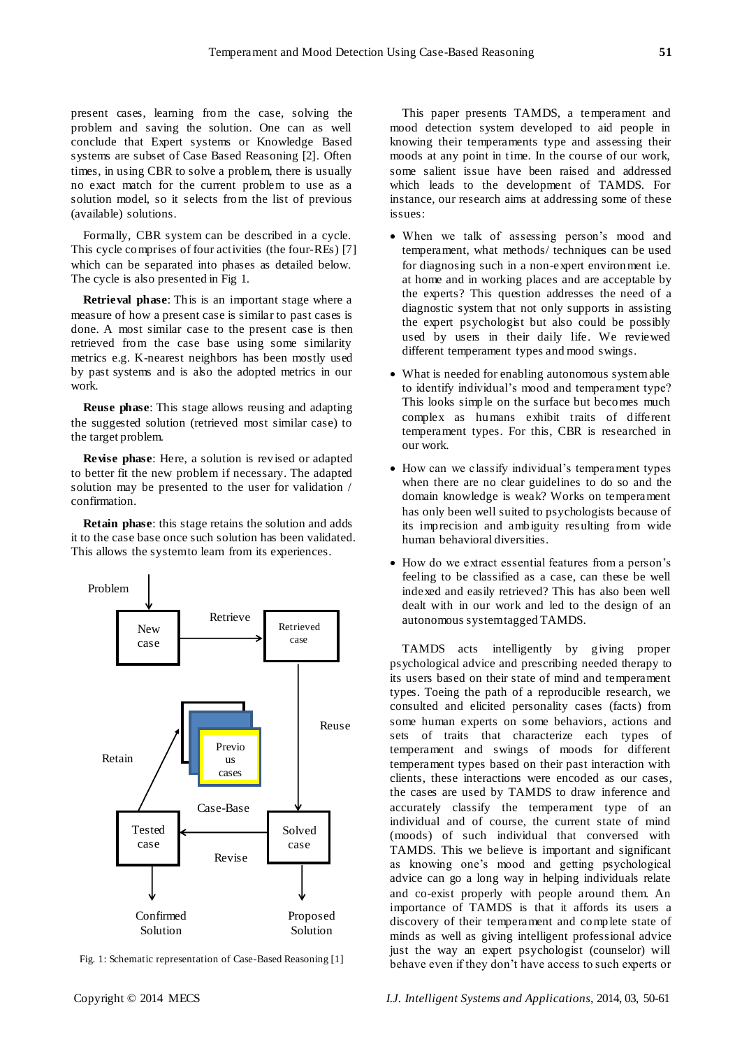present cases, learning from the case, solving the problem and saving the solution. One can as well conclude that Expert systems or Knowledge Based systems are subset of Case Based Reasoning [2]. Often times, in using CBR to solve a problem, there is usually no exact match for the current problem to use as a solution model, so it selects from the list of previous (available) solutions.

Formally, CBR system can be described in a cycle. This cycle comprises of four activities (the four-REs) [7] which can be separated into phases as detailed below. The cycle is also presented in Fig 1.

**Retrieval phase**: This is an important stage where a measure of how a present case is similar to past cases is done. A most similar case to the present case is then retrieved from the case base using some similarity metrics e.g. K-nearest neighbors has been mostly used by past systems and is also the adopted metrics in our work.

**Reuse phase**: This stage allows reusing and adapting the suggested solution (retrieved most similar case) to the target problem.

**Revise phase**: Here, a solution is revised or adapted to better fit the new problem if necessary. The adapted solution may be presented to the user for validation / confirmation.

**Retain phase**: this stage retains the solution and adds it to the case base once such solution has been validated. This allows the system to learn from its experiences.



Fig. 1: Schematic representation of Case-Based Reasoning [1]

This paper presents TAMDS, a temperament and mood detection system developed to aid people in knowing their temperaments type and assessing their moods at any point in time. In the course of our work, some salient issue have been raised and addressed which leads to the development of TAMDS. For instance, our research aims at addressing some of these issues:

- When we talk of assessing person's mood and temperament, what methods/ techniques can be used for diagnosing such in a non-expert environment i.e. at home and in working places and are acceptable by the experts? This question addresses the need of a diagnostic system that not only supports in assisting the expert psychologist but also could be possibly used by users in their daily life. We reviewed different temperament types and mood swings.
- What is needed for enabling autonomous system able to identify individual's mood and temperament type? This looks simple on the surface but becomes much complex as humans exhibit traits of different temperament types. For this, CBR is researched in our work.
- How can we classify individual's temperament types when there are no clear guidelines to do so and the domain knowledge is weak? Works on temperament has only been well suited to psychologists because of its imprecision and ambiguity resulting from wide human behavioral diversities.
- How do we extract essential features from a person's feeling to be classified as a case, can these be well indexed and easily retrieved? This has also been well dealt with in our work and led to the design of an autonomous system tagged TAMDS.

TAMDS acts intelligently by giving proper psychological advice and prescribing needed therapy to its users based on their state of mind and temperament types. Toeing the path of a reproducible research, we consulted and elicited personality cases (facts) from some human experts on some behaviors, actions and sets of traits that characterize each types of temperament and swings of moods for different temperament types based on their past interaction with clients, these interactions were encoded as our cases, the cases are used by TAMDS to draw inference and accurately classify the temperament type of an individual and of course, the current state of mind (moods) of such individual that conversed with TAMDS. This we believe is important and significant as knowing one's mood and getting psychological advice can go a long way in helping individuals relate and co-exist properly with people around them. An importance of TAMDS is that it affords its users a discovery of their temperament and complete state of minds as well as giving intelligent professional advice just the way an expert psychologist (counselor) will behave even if they don't have access to such experts or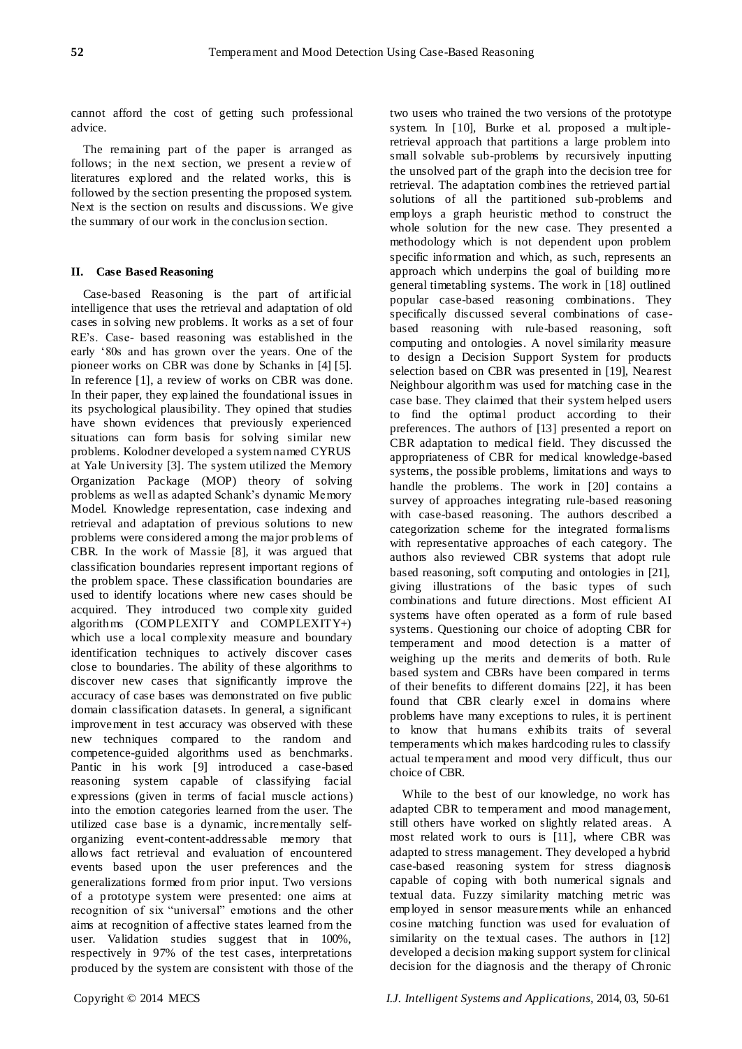cannot afford the cost of getting such professional advice.

The remaining part of the paper is arranged as follows; in the next section, we present a review of literatures explored and the related works, this is followed by the section presenting the proposed system. Next is the section on results and discussions. We give the summary of our work in the conclusion section.

#### **II. Case Based Reasoning**

Case-based Reasoning is the part of artificial intelligence that uses the retrieval and adaptation of old cases in solving new problems. It works as a set of four RE's. Case- based reasoning was established in the early ‗80s and has grown over the years. One of the pioneer works on CBR was done by Schanks in [4] [5]. In reference [1], a review of works on CBR was done. In their paper, they explained the foundational issues in its psychological plausibility. They opined that studies have shown evidences that previously experienced situations can form basis for solving similar new problems. Kolodner developed a system named CYRUS at Yale University [3]. The system utilized the Memory Organization Package (MOP) theory of solving problems as well as adapted Schank's dynamic Memory Model. Knowledge representation, case indexing and retrieval and adaptation of previous solutions to new problems were considered among the major problems of CBR. In the work of Massie [8], it was argued that classification boundaries represent important regions of the problem space. These classification boundaries are used to identify locations where new cases should be acquired. They introduced two comple xity guided algorithms (COMPLEXITY and COMPLEXITY+) which use a local complexity measure and boundary identification techniques to actively discover cases close to boundaries. The ability of these algorithms to discover new cases that significantly improve the accuracy of case bases was demonstrated on five public domain classification datasets. In general, a significant improvement in test accuracy was observed with these new techniques compared to the random and competence-guided algorithms used as benchmarks. Pantic in his work [9] introduced a case-based reasoning system capable of classifying facial expressions (given in terms of facial muscle actions) into the emotion categories learned from the user. The utilized case base is a dynamic, incrementally selforganizing event-content-addressable memory that allows fact retrieval and evaluation of encountered events based upon the user preferences and the generalizations formed from prior input. Two versions of a prototype system were presented: one aims at recognition of six "universal" emotions and the other aims at recognition of affective states learned from the user. Validation studies suggest that in 100%, respectively in 97% of the test cases, interpretations produced by the system are consistent with those of the

two users who trained the two versions of the prototype system. In [10], Burke et al. proposed a multipleretrieval approach that partitions a large problem into small solvable sub-problems by recursively inputting the unsolved part of the graph into the decision tree for retrieval. The adaptation combines the retrieved partial solutions of all the partitioned sub-problems and employs a graph heuristic method to construct the whole solution for the new case. They presented a methodology which is not dependent upon problem specific information and which, as such, represents an approach which underpins the goal of building more general timetabling systems. The work in [18] outlined popular case-based reasoning combinations. They specifically discussed several combinations of casebased reasoning with rule-based reasoning, soft computing and ontologies. A novel similarity measure to design a Decision Support System for products selection based on CBR was presented in [19], Nearest Neighbour algorithm was used for matching case in the case base. They claimed that their system helped users to find the optimal product according to their preferences. The authors of [13] presented a report on CBR adaptation to medical field. They discussed the appropriateness of CBR for medical knowledge-based systems, the possible problems, limitations and ways to handle the problems. The work in [20] contains a survey of approaches integrating rule-based reasoning with case-based reasoning. The authors described a categorization scheme for the integrated formalisms with representative approaches of each category. The authors also reviewed CBR systems that adopt rule based reasoning, soft computing and ontologies in [21], giving illustrations of the basic types of such combinations and future directions. Most efficient AI systems have often operated as a form of rule based systems. Questioning our choice of adopting CBR for temperament and mood detection is a matter of weighing up the merits and demerits of both. Rule based system and CBRs have been compared in terms of their benefits to different domains [22], it has been found that CBR clearly excel in domains where problems have many exceptions to rules, it is pertinent to know that humans exhibits traits of several temperaments which makes hardcoding rules to classify actual temperament and mood very difficult, thus our choice of CBR.

While to the best of our knowledge, no work has adapted CBR to temperament and mood management, still others have worked on slightly related areas. A most related work to ours is [11], where CBR was adapted to stress management. They developed a hybrid case-based reasoning system for stress diagnosis capable of coping with both numerical signals and textual data. Fuzzy similarity matching metric was employed in sensor measurements while an enhanced cosine matching function was used for evaluation of similarity on the textual cases. The authors in [12] developed a decision making support system for clinical decision for the diagnosis and the therapy of Chronic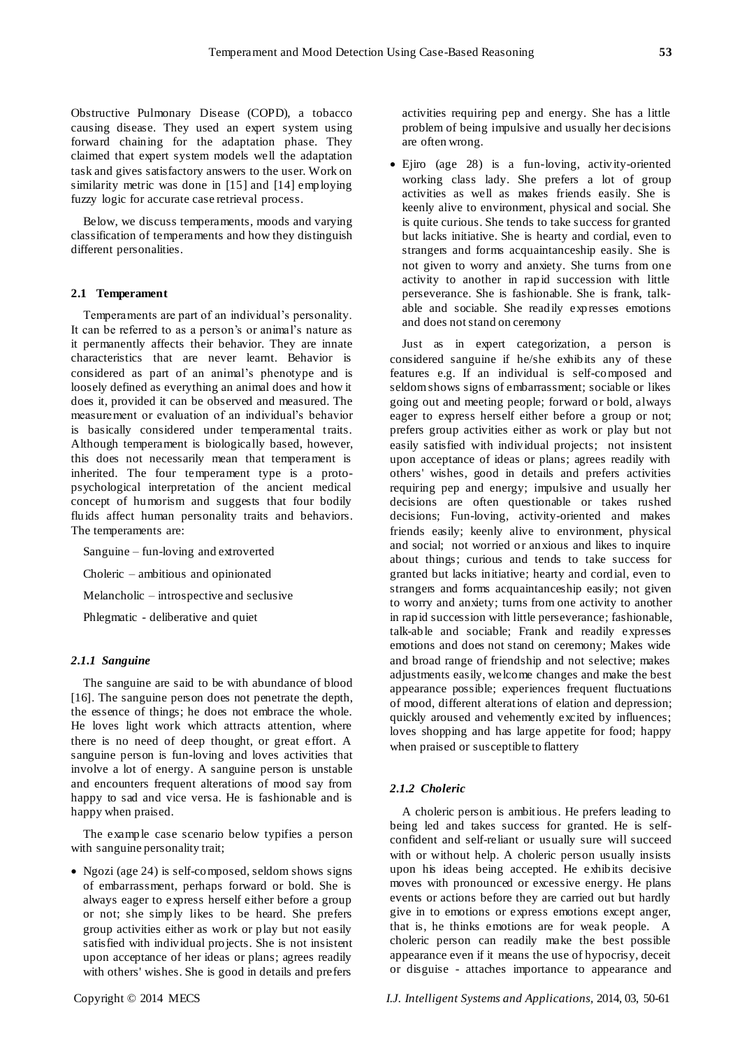Obstructive Pulmonary Disease (COPD), a tobacco causing disease. They used an expert system using forward chaining for the adaptation phase. They claimed that expert system models well the adaptation task and gives satisfactory answers to the user. Work on similarity metric was done in [15] and [14] employing fuzzy logic for accurate case retrieval process.

Below, we discuss temperaments, moods and varying classification of temperaments and how they distinguish different personalities.

## **2.1 Temperament**

Temperaments are part of an individual's personality. It can be referred to as a person's or animal's nature as it permanently affects their behavior. They are innate characteristics that are never learnt. Behavior is considered as part of an animal's phenotype and is loosely defined as everything an animal does and how it does it, provided it can be observed and measured. The measurement or evaluation of an individual's behavior is basically considered under temperamental traits. Although temperament is biologically based, however, this does not necessarily mean that temperament is inherited. The four temperament type is a protopsychological interpretation of the ancient medical concept of humorism and suggests that four bodily fluids affect human personality traits and behaviors. The temperaments are:

Sanguine – fun-loving and extroverted

Choleric – ambitious and opinionated

Melancholic – introspective and seclusive

Phlegmatic - deliberative and quiet

## *2.1.1 Sanguine*

The sanguine are said to be with abundance of blood [16]. The sanguine person does not penetrate the depth, the essence of things; he does not embrace the whole. He loves light work which attracts attention, where there is no need of deep thought, or great effort. A sanguine person is fun-loving and loves activities that involve a lot of energy. A sanguine person is unstable and encounters frequent alterations of mood say from happy to sad and vice versa. He is fashionable and is happy when praised.

The example case scenario below typifies a person with sanguine personality trait;

 Ngozi (age 24) is self-composed, seldom shows signs of embarrassment, perhaps forward or bold. She is always eager to express herself either before a group or not; she simply likes to be heard. She prefers group activities either as work or play but not easily satisfied with individual projects. She is not insistent upon acceptance of her ideas or plans; agrees readily with others' wishes. She is good in details and prefers

activities requiring pep and energy. She has a little problem of being impulsive and usually her decisions are often wrong.

 Ejiro (age 28) is a fun-loving, activity-oriented working class lady. She prefers a lot of group activities as well as makes friends easily. She is keenly alive to environment, physical and social. She is quite curious. She tends to take success for granted but lacks initiative. She is hearty and cordial, even to strangers and forms acquaintanceship easily. She is not given to worry and anxiety. She turns from one activity to another in rapid succession with little perseverance. She is fashionable. She is frank, talkable and sociable. She readily expresses emotions and does not stand on ceremony

Just as in expert categorization, a person is considered sanguine if he/she exhibits any of these features e.g. If an individual is self-composed and seldom shows signs of embarrassment; sociable or likes going out and meeting people; forward or bold, always eager to express herself either before a group or not; prefers group activities either as work or play but not easily satisfied with individual projects; not insistent upon acceptance of ideas or plans; agrees readily with others' wishes, good in details and prefers activities requiring pep and energy; impulsive and usually her decisions are often questionable or takes rushed decisions; Fun-loving, activity-oriented and makes friends easily; keenly alive to environment, physical and social; not worried or anxious and likes to inquire about things; curious and tends to take success for granted but lacks initiative; hearty and cordial, even to strangers and forms acquaintanceship easily; not given to worry and anxiety; turns from one activity to another in rapid succession with little perseverance; fashionable, talk-able and sociable; Frank and readily expresses emotions and does not stand on ceremony; Makes wide and broad range of friendship and not selective; makes adjustments easily, welcome changes and make the best appearance possible; experiences frequent fluctuations of mood, different alterations of elation and depression; quickly aroused and vehemently excited by influences; loves shopping and has large appetite for food; happy when praised or susceptible to flattery

## *2.1.2 Choleric*

A choleric person is ambitious. He prefers leading to being led and takes success for granted. He is selfconfident and self-reliant or usually sure will succeed with or without help. A choleric person usually insists upon his ideas being accepted. He exhibits decisive moves with pronounced or excessive energy. He plans events or actions before they are carried out but hardly give in to emotions or express emotions except anger, that is, he thinks emotions are for weak people. A choleric person can readily make the best possible appearance even if it means the use of hypocrisy, deceit or disguise - attaches importance to appearance and

Copyright © 2014 MECS *I.J. Intelligent Systems and Applications,* 2014, 03, 50-61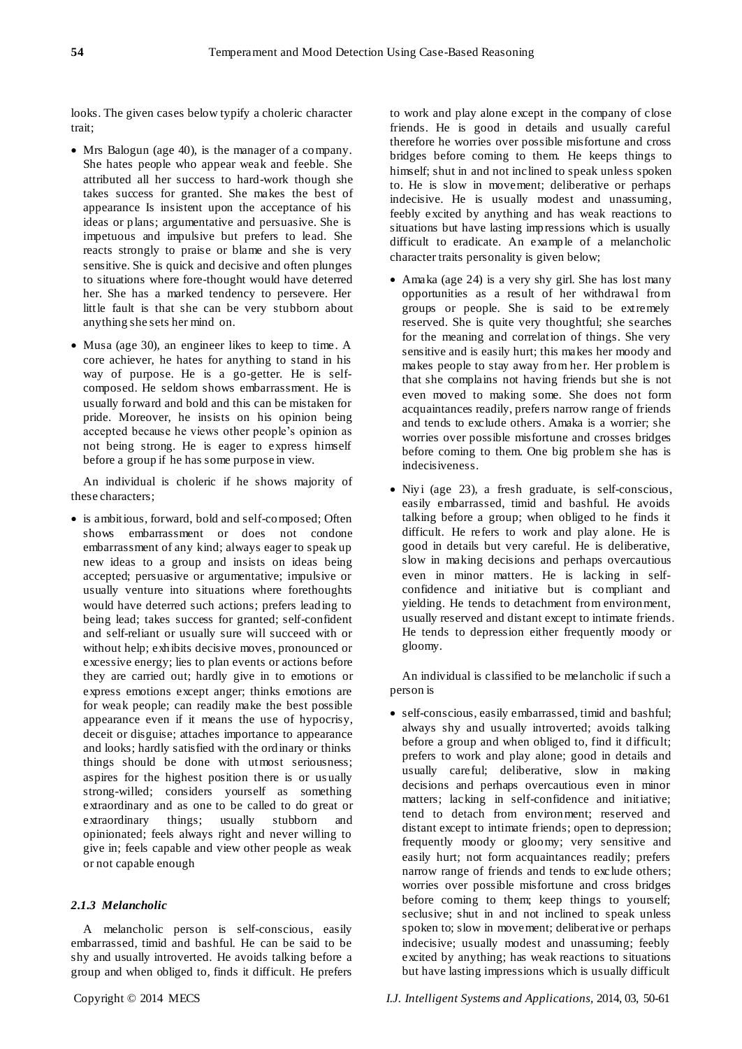looks. The given cases below typify a choleric character trait;

- Mrs Balogun (age 40), is the manager of a company. She hates people who appear weak and feeble. She attributed all her success to hard-work though she takes success for granted. She makes the best of appearance Is insistent upon the acceptance of his ideas or plans; argumentative and persuasive. She is impetuous and impulsive but prefers to lead. She reacts strongly to praise or blame and she is very sensitive. She is quick and decisive and often plunges to situations where fore-thought would have deterred her. She has a marked tendency to persevere. Her little fault is that she can be very stubborn about anything she sets her mind on.
- Musa (age 30), an engineer likes to keep to time. A core achiever, he hates for anything to stand in his way of purpose. He is a go-getter. He is selfcomposed. He seldom shows embarrassment. He is usually forward and bold and this can be mistaken for pride. Moreover, he insists on his opinion being accepted because he views other people's opinion as not being strong. He is eager to express himself before a group if he has some purpose in view.

An individual is choleric if he shows majority of these characters;

• is ambitious, forward, bold and self-composed; Often shows embarrassment or does not condone embarrassment of any kind; always eager to speak up new ideas to a group and insists on ideas being accepted; persuasive or argumentative; impulsive or usually venture into situations where forethoughts would have deterred such actions; prefers leading to being lead; takes success for granted; self-confident and self-reliant or usually sure will succeed with or without help; exhibits decisive moves, pronounced or excessive energy; lies to plan events or actions before they are carried out; hardly give in to emotions or express emotions except anger; thinks emotions are for weak people; can readily make the best possible appearance even if it means the use of hypocrisy, deceit or disguise; attaches importance to appearance and looks; hardly satisfied with the ordinary or thinks things should be done with utmost seriousness; aspires for the highest position there is or us ually strong-willed; considers yourself as something extraordinary and as one to be called to do great or extraordinary things; usually stubborn and opinionated; feels always right and never willing to give in; feels capable and view other people as weak or not capable enough

## *2.1.3 Melancholic*

A melancholic person is self-conscious, easily embarrassed, timid and bashful. He can be said to be shy and usually introverted. He avoids talking before a group and when obliged to, finds it difficult. He prefers

to work and play alone except in the company of close friends. He is good in details and usually careful therefore he worries over possible misfortune and cross bridges before coming to them. He keeps things to himself; shut in and not inclined to speak unless spoken to. He is slow in movement; deliberative or perhaps indecisive. He is usually modest and unassuming, feebly excited by anything and has weak reactions to situations but have lasting impressions which is usually difficult to eradicate. An example of a melancholic character traits personality is given below;

- Amaka (age 24) is a very shy girl. She has lost many opportunities as a result of her withdrawal from groups or people. She is said to be extremely reserved. She is quite very thoughtful; she searches for the meaning and correlation of things. She very sensitive and is easily hurt; this makes her moody and makes people to stay away from her. Her problem is that she complains not having friends but she is not even moved to making some. She does not form acquaintances readily, prefers narrow range of friends and tends to exclude others. Amaka is a worrier; she worries over possible misfortune and crosses bridges before coming to them. One big problem she has is indecisiveness.
- Niyi (age 23), a fresh graduate, is self-conscious, easily embarrassed, timid and bashful. He avoids talking before a group; when obliged to he finds it difficult. He refers to work and play alone. He is good in details but very careful. He is deliberative, slow in making decisions and perhaps overcautious even in minor matters. He is lacking in selfconfidence and initiative but is compliant and yielding. He tends to detachment from environment, usually reserved and distant except to intimate friends. He tends to depression either frequently moody or gloomy.

An individual is classified to be melancholic if such a person is

 self-conscious, easily embarrassed, timid and bashful; always shy and usually introverted; avoids talking before a group and when obliged to, find it difficult; prefers to work and play alone; good in details and usually careful; deliberative, slow in making decisions and perhaps overcautious even in minor matters; lacking in self-confidence and initiative; tend to detach from environment; reserved and distant except to intimate friends; open to depression; frequently moody or gloomy; very sensitive and easily hurt; not form acquaintances readily; prefers narrow range of friends and tends to exclude others; worries over possible misfortune and cross bridges before coming to them; keep things to yourself; seclusive; shut in and not inclined to speak unless spoken to; slow in movement; deliberative or perhaps indecisive; usually modest and unassuming; feebly excited by anything; has weak reactions to situations but have lasting impressions which is usually difficult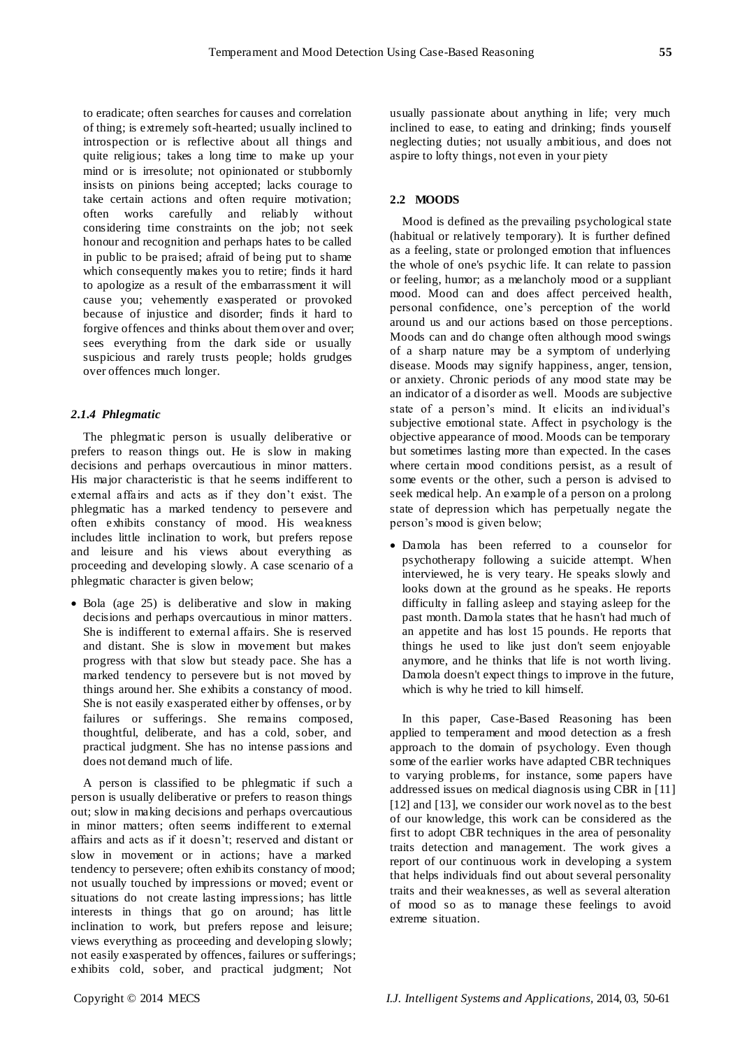to eradicate; often searches for causes and correlation of thing; is extremely soft-hearted; usually inclined to introspection or is reflective about all things and quite religious; takes a long time to make up your mind or is irresolute; not opinionated or stubbornly insists on pinions being accepted; lacks courage to take certain actions and often require motivation; often works carefully and reliably without considering time constraints on the job; not seek honour and recognition and perhaps hates to be called in public to be praised; afraid of being put to shame which consequently makes you to retire; finds it hard to apologize as a result of the embarrassment it will cause you; vehemently exasperated or provoked because of injustice and disorder; finds it hard to forgive offences and thinks about them over and over; sees everything from the dark side or usually suspicious and rarely trusts people; holds grudges over offences much longer.

# *2.1.4 Phlegmatic*

The phlegmatic person is usually deliberative or prefers to reason things out. He is slow in making decisions and perhaps overcautious in minor matters. His major characteristic is that he seems indifferent to external affairs and acts as if they don't exist. The phlegmatic has a marked tendency to persevere and often exhibits constancy of mood. His weakness includes little inclination to work, but prefers repose and leisure and his views about everything as proceeding and developing slowly. A case scenario of a phlegmatic character is given below;

• Bola (age 25) is deliberative and slow in making decisions and perhaps overcautious in minor matters. She is indifferent to external affairs. She is reserved and distant. She is slow in movement but makes progress with that slow but steady pace. She has a marked tendency to persevere but is not moved by things around her. She exhibits a constancy of mood. She is not easily exasperated either by offenses, or by failures or sufferings. She remains composed, thoughtful, deliberate, and has a cold, sober, and practical judgment. She has no intense passions and does not demand much of life.

A person is classified to be phlegmatic if such a person is usually deliberative or prefers to reason things out; slow in making decisions and perhaps overcautious in minor matters; often seems indifferent to external affairs and acts as if it doesn't; reserved and distant or slow in movement or in actions; have a marked tendency to persevere; often exhibits constancy of mood; not usually touched by impressions or moved; event or situations do not create lasting impressions; has little interests in things that go on around; has little inclination to work, but prefers repose and leisure; views everything as proceeding and developing slowly; not easily exasperated by offences, failures or sufferings; exhibits cold, sober, and practical judgment; Not

usually passionate about anything in life; very much inclined to ease, to eating and drinking; finds yourself neglecting duties; not usually ambitious, and does not aspire to lofty things, not even in your piety

# **2.2 MOODS**

Mood is defined as the prevailing psychological state (habitual or relatively temporary). It is further defined as a feeling, state or prolonged emotion that influences the whole of one's psychic life. It can relate to passion or feeling, humor; as a melancholy mood or a suppliant mood. Mood can and does affect perceived health, personal confidence, one's perception of the world around us and our actions based on those perceptions. Moods can and do change often although mood swings of a sharp nature may be a symptom of underlying disease. Moods may signify happiness, anger, tension, or anxiety. Chronic periods of any mood state may be an indicator of a disorder as well. Moods are subjective state of a person's mind. It elicits an individual's subjective emotional state. Affect in psychology is the objective appearance of mood. Moods can be temporary but sometimes lasting more than expected. In the cases where certain mood conditions persist, as a result of some events or the other, such a person is advised to seek medical help. An example of a person on a prolong state of depression which has perpetually negate the person's mood is given below;

 Damola has been referred to a counselor for psychotherapy following a suicide attempt. When interviewed, he is very teary. He speaks slowly and looks down at the ground as he speaks. He reports difficulty in falling asleep and staying asleep for the past month. Damola states that he hasn't had much of an appetite and has lost 15 pounds. He reports that things he used to like just don't seem enjoyable anymore, and he thinks that life is not worth living. Damola doesn't expect things to improve in the future, which is why he tried to kill himself.

In this paper, Case-Based Reasoning has been applied to temperament and mood detection as a fresh approach to the domain of psychology. Even though some of the earlier works have adapted CBR techniques to varying problems, for instance, some papers have addressed issues on medical diagnosis using CBR in [11] [12] and [13], we consider our work novel as to the best of our knowledge, this work can be considered as the first to adopt CBR techniques in the area of personality traits detection and management. The work gives a report of our continuous work in developing a system that helps individuals find out about several personality traits and their weaknesses, as well as several alteration of mood so as to manage these feelings to avoid extreme situation.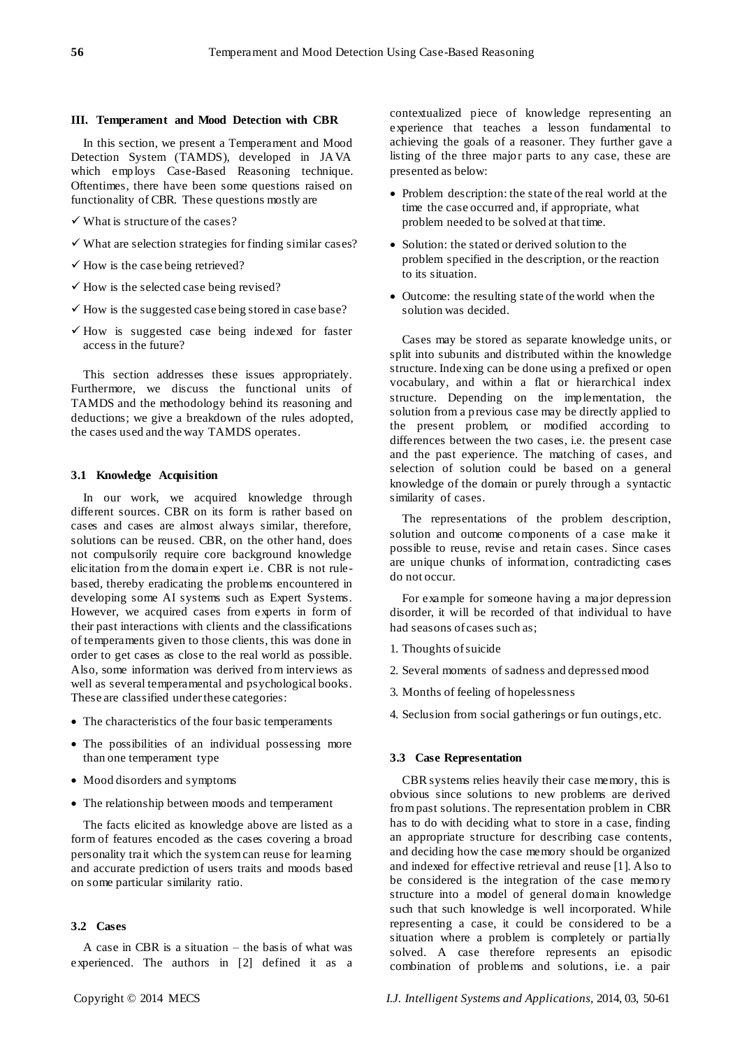#### **III. Temperament and Mood Detection with CBR**

In this section, we present a Temperament and Mood Detection System (TAMDS), developed in JAVA which employs Case-Based Reasoning technique. Oftentimes, there have been some questions raised on functionality of CBR. These questions mostly are

- $\checkmark$  What is structure of the cases?
- $\checkmark$  What are selection strategies for finding similar cases?
- $\checkmark$  How is the case being retrieved?
- $\checkmark$  How is the selected case being revised?
- $\checkmark$  How is the suggested case being stored in case base?
- $\checkmark$  How is suggested case being indexed for faster access in the future?

This section addresses these issues appropriately. Furthermore, we discuss the functional units of TAMDS and the methodology behind its reasoning and deductions; we give a breakdown of the rules adopted, the cases used and the way TAMDS operates.

#### **3.1 Knowledge Acquisition**

In our work, we acquired knowledge through different sources. CBR on its form is rather based on cases and cases are almost always similar, therefore, solutions can be reused. CBR, on the other hand, does not compulsorily require core background knowledge elicitation from the domain expert i.e. CBR is not rulebased, thereby eradicating the problems encountered in developing some AI systems such as Expert Systems. However, we acquired cases from experts in form of their past interactions with clients and the classifications of temperaments given to those clients, this was done in order to get cases as close to the real world as possible. Also, some information was derived from interviews as well as several temperamental and psychological books. These are classified under these categories:

- The characteristics of the four basic temperaments
- The possibilities of an individual possessing more than one temperament type
- Mood disorders and symptoms
- The relationship between moods and temperament

The facts elicited as knowledge above are listed as a form of features encoded as the cases covering a broad personality trait which the system can reuse for learning and accurate prediction of users traits and moods based on some particular similarity ratio.

#### **3.2 Cases**

A case in CBR is a situation – the basis of what was experienced. The authors in [2] defined it as a contextualized piece of knowledge representing an experience that teaches a lesson fundamental to achieving the goals of a reasoner. They further gave a listing of the three major parts to any case, these are presented as below:

- Problem description: the state of the real world at the time the case occurred and, if appropriate, what problem needed to be solved at that time.
- Solution: the stated or derived solution to the problem specified in the description, or the reaction to its situation.
- Outcome: the resulting state of the world when the solution was decided.

Cases may be stored as separate knowledge units, or split into subunits and distributed within the knowledge structure. Indexing can be done using a prefixed or open vocabulary, and within a flat or hierarchical index structure. Depending on the implementation, the solution from a previous case may be directly applied to the present problem, or modified according to differences between the two cases, i.e. the present case and the past experience. The matching of cases, and selection of solution could be based on a general knowledge of the domain or purely through a syntactic similarity of cases.

The representations of the problem description, solution and outcome components of a case make it possible to reuse, revise and retain cases. Since cases are unique chunks of information, contradicting cases do not occur.

For example for someone having a major depression disorder, it will be recorded of that individual to have had seasons of cases such as;

- 1. Thoughts of suicide
- 2. Several moments of sadness and depressed mood
- 3. Months of feeling of hopelessness
- 4. Seclusion from social gatherings or fun outings, etc.

#### **3.3 Case Representation**

CBR systems relies heavily their case memory, this is obvious since solutions to new problems are derived from past solutions. The representation problem in CBR has to do with deciding what to store in a case, finding an appropriate structure for describing case contents, and deciding how the case memory should be organized and indexed for effective retrieval and reuse [1]. Also to be considered is the integration of the case memory structure into a model of general domain knowledge such that such knowledge is well incorporated. While representing a case, it could be considered to be a situation where a problem is completely or partially solved. A case therefore represents an episodic combination of problems and solutions, i.e. a pair

Copyright © 2014 MECS *I.J. Intelligent Systems and Applications,* 2014, 03, 50-61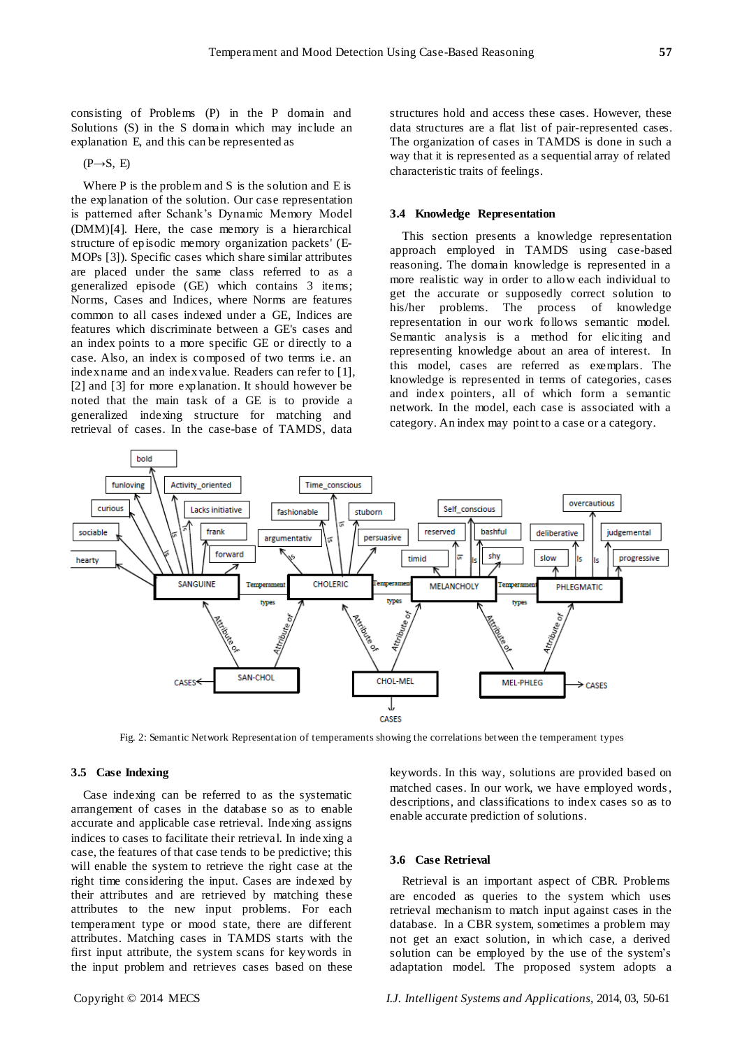consisting of Problems (P) in the P domain and Solutions (S) in the S domain which may include an explanation E, and this can be represented as

 $(P \rightarrow S, E)$ 

Where  $P$  is the problem and  $S$  is the solution and  $E$  is the explanation of the solution. Our case representation is patterned after Schank's Dynamic Memory Model (DMM)[4]. Here, the case memory is a hierarchical structure of episodic memory organization packets' (E-MOPs [3]). Specific cases which share similar attributes are placed under the same class referred to as a generalized episode (GE) which contains 3 items; Norms, Cases and Indices, where Norms are features common to all cases indexed under a GE, Indices are features which discriminate between a GE's cases and an index points to a more specific GE or directly to a case. Also, an index is composed of two terms i.e. an index name and an index value. Readers can refer to [1], [2] and [3] for more explanation. It should however be noted that the main task of a GE is to provide a generalized indexing structure for matching and retrieval of cases. In the case-base of TAMDS, data

structures hold and access these cases. However, these data structures are a flat list of pair-represented cases. The organization of cases in TAMDS is done in such a way that it is represented as a sequential array of related characteristic traits of feelings.

#### **3.4 Knowledge Representation**

This section presents a knowledge representation approach employed in TAMDS using case-based reasoning. The domain knowledge is represented in a more realistic way in order to allow each individual to get the accurate or supposedly correct solution to his/her problems. The process of knowledge representation in our work follows semantic model. Semantic analysis is a method for eliciting and representing knowledge about an area of interest. In this model, cases are referred as exemplars. The knowledge is represented in terms of categories, cases and index pointers, all of which form a semantic network. In the model, each case is associated with a category. An index may point to a case or a category.



Fig. 2: Semantic Network Representation of temperaments showing the correlations between th e temperament types

# **3.5 Case Indexing**

Case indexing can be referred to as the systematic arrangement of cases in the database so as to enable accurate and applicable case retrieval. Indexing assigns indices to cases to facilitate their retrieval. In inde xing a case, the features of that case tends to be predictive; this will enable the system to retrieve the right case at the right time considering the input. Cases are indexed by their attributes and are retrieved by matching these attributes to the new input problems. For each temperament type or mood state, there are different attributes. Matching cases in TAMDS starts with the first input attribute, the system scans for keywords in the input problem and retrieves cases based on these

keywords. In this way, solutions are provided based on matched cases. In our work, we have employed words, descriptions, and classifications to index cases so as to enable accurate prediction of solutions.

## **3.6 Case Retrieval**

Retrieval is an important aspect of CBR. Problems are encoded as queries to the system which uses retrieval mechanism to match input against cases in the database. In a CBR system, sometimes a problem may not get an exact solution, in which case, a derived solution can be employed by the use of the system's adaptation model. The proposed system adopts a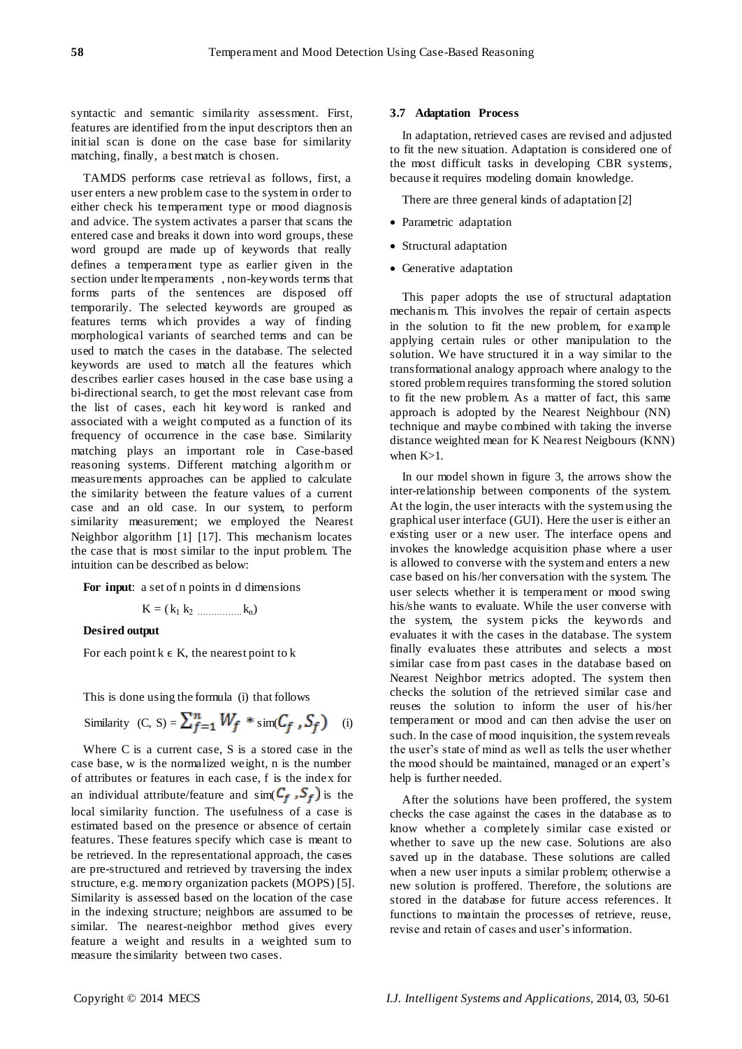syntactic and semantic similarity assessment. First, features are identified from the input descriptors then an initial scan is done on the case base for similarity matching, finally, a best match is chosen.

TAMDS performs case retrieval as follows, first, a user enters a new problem case to the system in order to either check his temperament type or mood diagnosis and advice. The system activates a parser that scans the entered case and breaks it down into word groups, these word groupd are made up of keywords that really defines a temperament type as earlier given in the section under ltemperaments , non-keywords terms that forms parts of the sentences are disposed off temporarily. The selected keywords are grouped as features terms which provides a way of finding morphological variants of searched terms and can be used to match the cases in the database. The selected keywords are used to match all the features which describes earlier cases housed in the case base using a bi-directional search, to get the most relevant case from the list of cases, each hit keyword is ranked and associated with a weight computed as a function of its frequency of occurrence in the case base. Similarity matching plays an important role in Case-based reasoning systems. Different matching algorithm or measurements approaches can be applied to calculate the similarity between the feature values of a current case and an old case. In our system, to perform similarity measurement; we employed the Nearest Neighbor algorithm [1] [17]. This mechanism locates the case that is most similar to the input problem. The intuition can be described as below:

**For input**: a set of n points in d dimensions

 $K = (k_1 k_2 \dots k_n)$ 

# **Desired output**

For each point  $k \in K$ , the nearest point to k

This is done using the formula (i) that follows

Similarly (C, S) = 
$$
\sum_{f=1}^{n} W_f * \text{sim}(C_f, S_f)
$$
 (i)

Where C is a current case, S is a stored case in the case base, w is the normalized weight, n is the number of attributes or features in each case, f is the index for an individual attribute/feature and  $\sin(C_f, S_f)$  is the local similarity function. The usefulness of a case is estimated based on the presence or absence of certain features. These features specify which case is meant to be retrieved. In the representational approach, the cases are pre-structured and retrieved by traversing the index structure, e.g. memory organization packets (MOPS) [5]. Similarity is assessed based on the location of the case in the indexing structure; neighbors are assumed to be similar. The nearest-neighbor method gives every feature a weight and results in a weighted sum to measure the similarity between two cases.

## **3.7 Adaptation Process**

In adaptation, retrieved cases are revised and adjusted to fit the new situation. Adaptation is considered one of the most difficult tasks in developing CBR systems, because it requires modeling domain knowledge.

There are three general kinds of adaptation [2]

- Parametric adaptation
- Structural adaptation
- Generative adaptation

This paper adopts the use of structural adaptation mechanis m. This involves the repair of certain aspects in the solution to fit the new problem, for example applying certain rules or other manipulation to the solution. We have structured it in a way similar to the transformational analogy approach where analogy to the stored problem requires transforming the stored solution to fit the new problem. As a matter of fact, this same approach is adopted by the Nearest Neighbour (NN) technique and maybe combined with taking the inverse distance weighted mean for K Nearest Neigbours (KNN) when  $K>1$ .

In our model shown in figure 3, the arrows show the inter-relationship between components of the system. At the login, the user interacts with the system using the graphical user interface (GUI). Here the user is either an existing user or a new user. The interface opens and invokes the knowledge acquisition phase where a user is allowed to converse with the system and enters a new case based on his/her conversation with the system. The user selects whether it is temperament or mood swing his/she wants to evaluate. While the user converse with the system, the system picks the keywords and evaluates it with the cases in the database. The system finally evaluates these attributes and selects a most similar case from past cases in the database based on Nearest Neighbor metrics adopted. The system then checks the solution of the retrieved similar case and reuses the solution to inform the user of his/her temperament or mood and can then advise the user on such. In the case of mood inquisition, the system reveals the user's state of mind as well as tells the user whether the mood should be maintained, managed or an expert's help is further needed.

After the solutions have been proffered, the system checks the case against the cases in the database as to know whether a completely similar case existed or whether to save up the new case. Solutions are also saved up in the database. These solutions are called when a new user inputs a similar problem; otherwise a new solution is proffered. Therefore, the solutions are stored in the database for future access references. It functions to maintain the processes of retrieve, reuse, revise and retain of cases and user's information.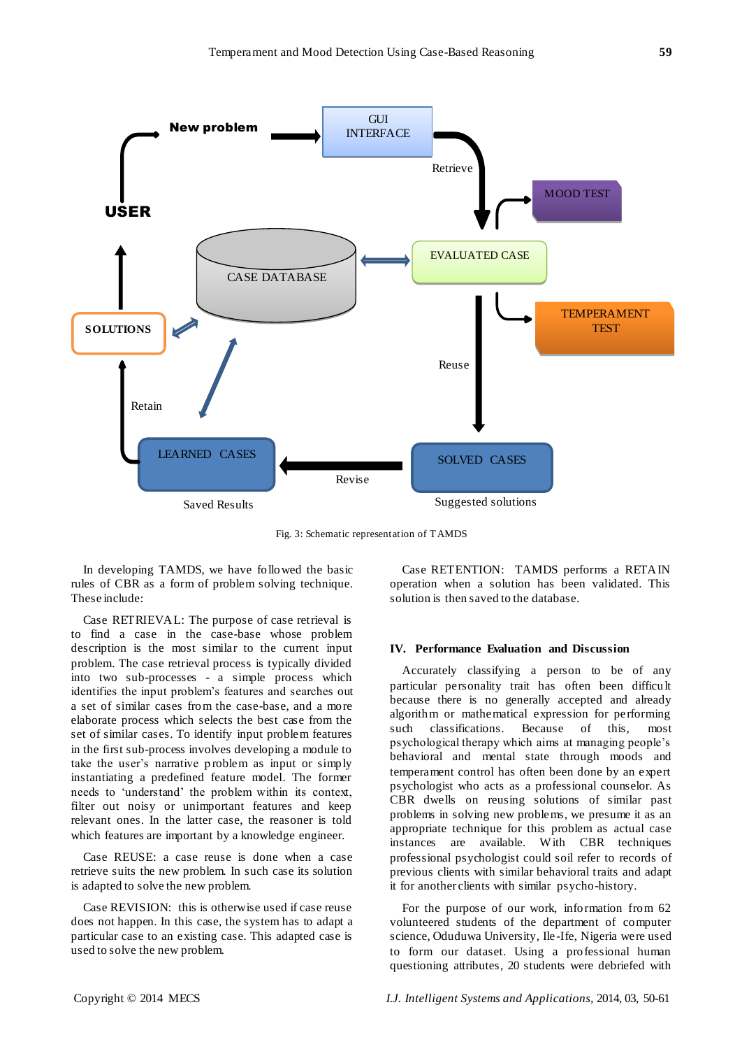

Fig. 3: Schematic representation of TAMDS

In developing TAMDS, we have followed the basic rules of CBR as a form of problem solving technique. These include:

Case RETRIEVAL: The purpose of case retrieval is to find a case in the case-base whose problem description is the most similar to the current input problem. The case retrieval process is typically divided into two sub-processes - a simple process which identifies the input problem's features and searches out a set of similar cases from the case-base, and a more elaborate process which selects the best case from the set of similar cases. To identify input problem features in the first sub-process involves developing a module to take the user's narrative problem as input or simply instantiating a predefined feature model. The former needs to 'understand' the problem within its context, filter out noisy or unimportant features and keep relevant ones. In the latter case, the reasoner is told which features are important by a knowledge engineer.

Case REUSE: a case reuse is done when a case retrieve suits the new problem. In such case its solution is adapted to solve the new problem.

Case REVISION: this is otherwise used if case reuse does not happen. In this case, the system has to adapt a particular case to an existing case. This adapted case is used to solve the new problem.

Case RETENTION: TAMDS performs a RETAIN operation when a solution has been validated. This solution is then saved to the database.

#### **IV. Performance Evaluation and Discussion**

Accurately classifying a person to be of any particular personality trait has often been difficult because there is no generally accepted and already algorithm or mathematical expression for performing such classifications. Because of this, most psychological therapy which aims at managing people's behavioral and mental state through moods and temperament control has often been done by an expert psychologist who acts as a professional counselor. As CBR dwells on reusing solutions of similar past problems in solving new problems, we presume it as an appropriate technique for this problem as actual case instances are available. W ith CBR techniques professional psychologist could soil refer to records of previous clients with similar behavioral traits and adapt it for another clients with similar psycho-history.

For the purpose of our work, information from 62 volunteered students of the department of computer science, Oduduwa University, Ile -Ife, Nigeria were used to form our dataset. Using a professional human questioning attributes, 20 students were debriefed with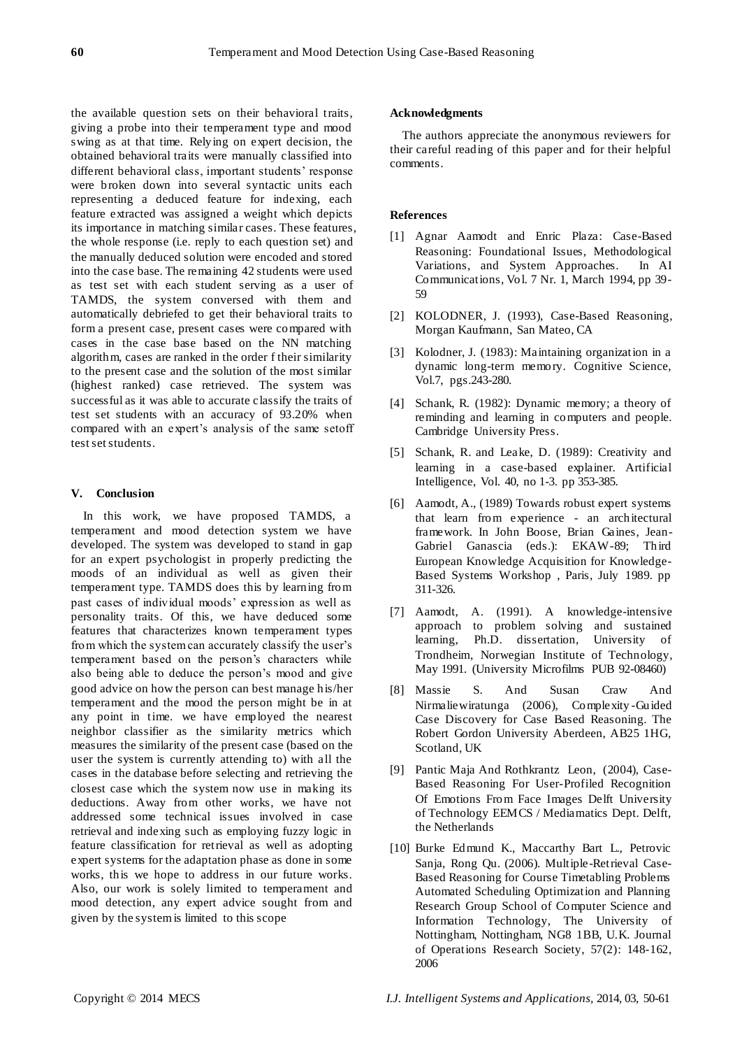the available question sets on their behavioral traits, giving a probe into their temperament type and mood swing as at that time. Relying on expert decision, the obtained behavioral traits were manually classified into different behavioral class, important students' response were broken down into several syntactic units each representing a deduced feature for indexing, each feature extracted was assigned a weight which depicts its importance in matching similar cases. These features, the whole response (i.e. reply to each question set) and the manually deduced solution were encoded and stored into the case base. The remaining 42 students were used as test set with each student serving as a user of TAMDS, the system conversed with them and automatically debriefed to get their behavioral traits to form a present case, present cases were compared with cases in the case base based on the NN matching algorithm, cases are ranked in the order f their similarity to the present case and the solution of the most similar (highest ranked) case retrieved. The system was successful as it was able to accurate classify the traits of test set students with an accuracy of 93.20% when compared with an expert's analysis of the same setoff test set students.

# **V. Conclusion**

In this work, we have proposed TAMDS, a temperament and mood detection system we have developed. The system was developed to stand in gap for an expert psychologist in properly predicting the moods of an individual as well as given their temperament type. TAMDS does this by learning from past cases of individual moods' expression as well as personality traits. Of this, we have deduced some features that characterizes known temperament types from which the system can accurately classify the user's temperament based on the person's characters while also being able to deduce the person's mood and give good advice on how the person can best manage his/her temperament and the mood the person might be in at any point in time. we have employed the nearest neighbor classifier as the similarity metrics which measures the similarity of the present case (based on the user the system is currently attending to) with all the cases in the database before selecting and retrieving the closest case which the system now use in making its deductions. Away from other works, we have not addressed some technical issues involved in case retrieval and indexing such as employing fuzzy logic in feature classification for retrieval as well as adopting expert systems for the adaptation phase as done in some works, this we hope to address in our future works. Also, our work is solely limited to temperament and mood detection, any expert advice sought from and given by the system is limited to this scope

# **Acknowledgments**

The authors appreciate the anonymous reviewers for their careful reading of this paper and for their helpful comments.

# **References**

- [1] Agnar Aamodt and Enric Plaza: Case-Based Reasoning: Foundational Issues, Methodological Variations, and System Approaches. In AI Communications, Vol. 7 Nr. 1, March 1994, pp 39- 59
- [2] KOLODNER, J. (1993), Case-Based Reasoning, Morgan Kaufmann, San Mateo, CA
- [3] Kolodner, J. (1983): Maintaining organization in a dynamic long-term memory. Cognitive Science, Vol.7, pgs.243-280.
- [4] Schank, R. (1982): Dynamic memory; a theory of reminding and learning in computers and people. Cambridge University Press.
- [5] Schank, R. and Leake, D. (1989): Creativity and learning in a case-based explainer. Artificial Intelligence, Vol. 40, no 1-3. pp 353-385.
- [6] Aamodt, A., (1989) Towards robust expert systems that learn from experience - an architectural framework. In John Boose, Brian Gaines, Jean-Gabriel Ganascia (eds.): EKAW-89; Third European Knowledge Acquisition for Knowledge-Based Systems Workshop , Paris, July 1989. pp 311-326.
- [7] Aamodt, A. (1991). A knowledge-intensive approach to problem solving and sustained learning, Ph.D. dissertation, University of Trondheim, Norwegian Institute of Technology, May 1991. (University Microfilms PUB 92-08460)
- [8] Massie S. And Susan Craw And Nirmaliewiratunga (2006), Complexity -Guided Case Discovery for Case Based Reasoning. The Robert Gordon University Aberdeen, AB25 1HG, Scotland, UK
- [9] Pantic Maja And Rothkrantz Leon, (2004), Case-Based Reasoning For User-Profiled Recognition Of Emotions From Face Images Delft University of Technology EEMCS / Mediamatics Dept. Delft, the Netherlands
- [10] Burke Edmund K., Maccarthy Bart L., Petrovic Sanja, Rong Qu. (2006). Multiple-Retrieval Case-Based Reasoning for Course Timetabling Problems Automated Scheduling Optimization and Planning Research Group School of Computer Science and Information Technology, The University of Nottingham, Nottingham, NG8 1BB, U.K. Journal of Operations Research Society, 57(2): 148-162, 2006